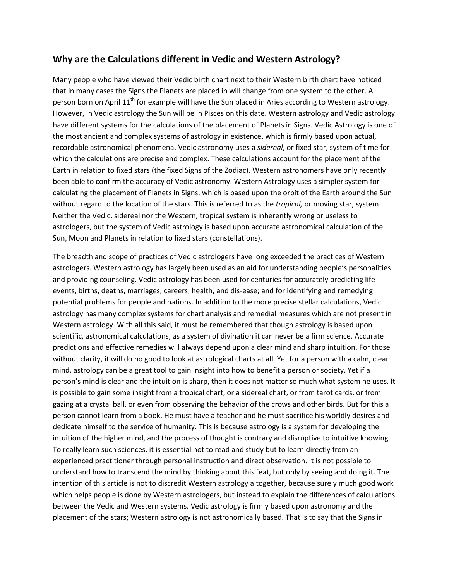# **Why are the Calculations different in Vedic and Western Astrology?**

Many people who have viewed their Vedic birth chart next to their Western birth chart have noticed that in many cases the Signs the Planets are placed in will change from one system to the other. A person born on April 11<sup>th</sup> for example will have the Sun placed in Aries according to Western astrology. However, in Vedic astrology the Sun will be in Pisces on this date. Western astrology and Vedic astrology have different systems for the calculations of the placement of Planets in Signs. Vedic Astrology is one of the most ancient and complex systems of astrology in existence, which is firmly based upon actual, recordable astronomical phenomena. Vedic astronomy uses a *sidereal*, or fixed star, system of time for which the calculations are precise and complex. These calculations account for the placement of the Earth in relation to fixed stars (the fixed Signs of the Zodiac). Western astronomers have only recently been able to confirm the accuracy of Vedic astronomy. Western Astrology uses a simpler system for calculating the placement of Planets in Signs, which is based upon the orbit of the Earth around the Sun without regard to the location of the stars. This is referred to as the *tropical,* or moving star, system. Neither the Vedic, sidereal nor the Western, tropical system is inherently wrong or useless to astrologers, but the system of Vedic astrology is based upon accurate astronomical calculation of the Sun, Moon and Planets in relation to fixed stars (constellations).

The breadth and scope of practices of Vedic astrologers have long exceeded the practices of Western astrologers. Western astrology has largely been used as an aid for understanding people's personalities and providing counseling. Vedic astrology has been used for centuries for accurately predicting life events, births, deaths, marriages, careers, health, and dis-ease; and for identifying and remedying potential problems for people and nations. In addition to the more precise stellar calculations, Vedic astrology has many complex systems for chart analysis and remedial measures which are not present in Western astrology. With all this said, it must be remembered that though astrology is based upon scientific, astronomical calculations, as a system of divination it can never be a firm science. Accurate predictions and effective remedies will always depend upon a clear mind and sharp intuition. For those without clarity, it will do no good to look at astrological charts at all. Yet for a person with a calm, clear mind, astrology can be a great tool to gain insight into how to benefit a person or society. Yet if a person's mind is clear and the intuition is sharp, then it does not matter so much what system he uses. It is possible to gain some insight from a tropical chart, or a sidereal chart, or from tarot cards, or from gazing at a crystal ball, or even from observing the behavior of the crows and other birds. But for this a person cannot learn from a book. He must have a teacher and he must sacrifice his worldly desires and dedicate himself to the service of humanity. This is because astrology is a system for developing the intuition of the higher mind, and the process of thought is contrary and disruptive to intuitive knowing. To really learn such sciences, it is essential not to read and study but to learn directly from an experienced practitioner through personal instruction and direct observation. It is not possible to understand how to transcend the mind by thinking about this feat, but only by seeing and doing it. The intention of this article is not to discredit Western astrology altogether, because surely much good work which helps people is done by Western astrologers, but instead to explain the differences of calculations between the Vedic and Western systems. Vedic astrology is firmly based upon astronomy and the placement of the stars; Western astrology is not astronomically based. That is to say that the Signs in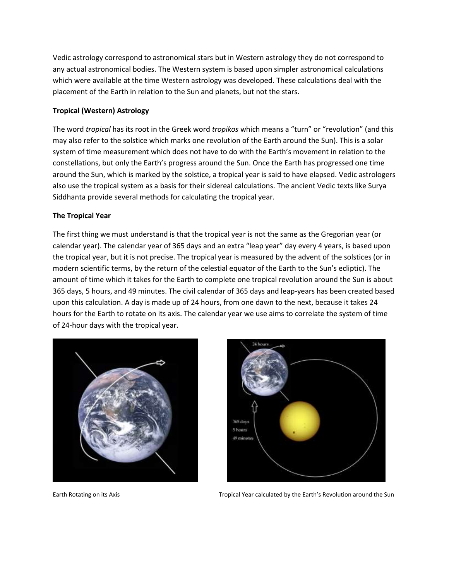Vedic astrology correspond to astronomical stars but in Western astrology they do not correspond to any actual astronomical bodies. The Western system is based upon simpler astronomical calculations which were available at the time Western astrology was developed. These calculations deal with the placement of the Earth in relation to the Sun and planets, but not the stars.

## **Tropical (Western) Astrology**

The word *tropical* has its root in the Greek word *tropikos* which means a "turn" or "revolution" (and this may also refer to the solstice which marks one revolution of the Earth around the Sun). This is a solar system of time measurement which does not have to do with the Earth's movement in relation to the constellations, but only the Earth's progress around the Sun. Once the Earth has progressed one time around the Sun, which is marked by the solstice, a tropical year is said to have elapsed. Vedic astrologers also use the tropical system as a basis for their sidereal calculations. The ancient Vedic texts like Surya Siddhanta provide several methods for calculating the tropical year.

## **The Tropical Year**

The first thing we must understand is that the tropical year is not the same as the Gregorian year (or calendar year). The calendar year of 365 days and an extra "leap year" day every 4 years, is based upon the tropical year, but it is not precise. The tropical year is measured by the advent of the solstices (or in modern scientific terms, by the return of the celestial equator of the Earth to the Sun's ecliptic). The amount of time which it takes for the Earth to complete one tropical revolution around the Sun is about 365 days, 5 hours, and 49 minutes. The civil calendar of 365 days and leap-years has been created based upon this calculation. A day is made up of 24 hours, from one dawn to the next, because it takes 24 hours for the Earth to rotate on its axis. The calendar year we use aims to correlate the system of time of 24-hour days with the tropical year.





Earth Rotating on its Axis Tropical Year calculated by the Earth's Revolution around the Sun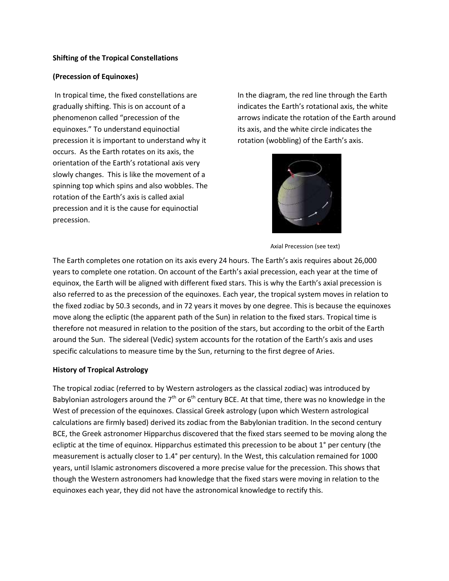## **Shifting of the Tropical Constellations**

## **(Precession of Equinoxes)**

In tropical time, the fixed constellations are gradually shifting. This is on account of a phenomenon called "precession of the equinoxes." To understand equinoctial precession it is important to understand why it occurs. As the Earth rotates on its axis, the orientation of the Earth's rotational axis very slowly changes. This is like the movement of a spinning top which spins and also wobbles. The rotation of the Earth's axis is called axial precession and it is the cause for equinoctial precession.

In the diagram, the red line through the Earth indicates the Earth's rotational axis, the white arrows indicate the rotation of the Earth around its axis, and the white circle indicates the rotation (wobbling) of the Earth's axis.



Axial Precession (see text)

The Earth completes one rotation on its axis every 24 hours. The Earth's axis requires about 26,000 years to complete one rotation. On account of the Earth's axial precession, each year at the time of equinox, the Earth will be aligned with different fixed stars. This is why the Earth's axial precession is also referred to as the precession of the equinoxes. Each year, the tropical system moves in relation to the fixed zodiac by 50.3 seconds, and in 72 years it moves by one degree. This is because the equinoxes move along the ecliptic (the apparent path of the Sun) in relation to the fixed stars. Tropical time is therefore not measured in relation to the position of the stars, but according to the orbit of the Earth around the Sun. The sidereal (Vedic) system accounts for the rotation of the Earth's axis and uses specific calculations to measure time by the Sun, returning to the first degree of Aries.

## **History of Tropical Astrology**

The tropical zodiac (referred to by Western astrologers as the classical zodiac) was introduced by Babylonian astrologers around the  $7<sup>th</sup>$  or 6<sup>th</sup> century BCE. At that time, there was no knowledge in the West of precession of the equinoxes. Classical Greek astrology (upon which Western astrological calculations are firmly based) derived its zodiac from the Babylonian tradition. In the second century BCE, the Greek astronomer Hipparchus discovered that the fixed stars seemed to be moving along the ecliptic at the time of equinox. Hipparchus estimated this precession to be about 1° per century (the measurement is actually closer to 1.4° per century). In the West, this calculation remained for 1000 years, until Islamic astronomers discovered a more precise value for the precession. This shows that though the Western astronomers had knowledge that the fixed stars were moving in relation to the equinoxes each year, they did not have the astronomical knowledge to rectify this.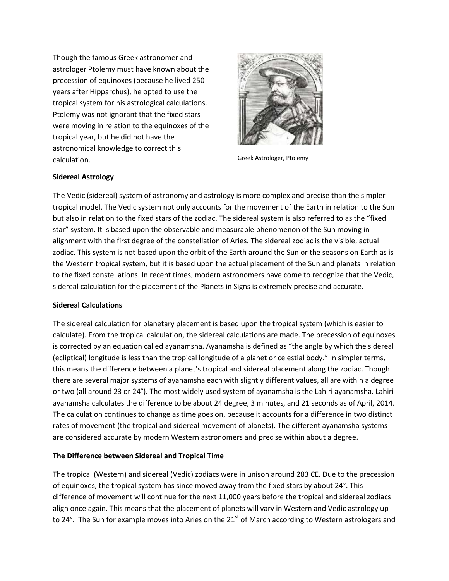Though the famous Greek astronomer and astrologer Ptolemy must have known about the precession of equinoxes (because he lived 250 years after Hipparchus), he opted to use the tropical system for his astrological calculations. Ptolemy was not ignorant that the fixed stars were moving in relation to the equinoxes of the tropical year, but he did not have the astronomical knowledge to correct this calculation. The contraction of the calculation of the calculation of the calculation of the calculation of the c



## **Sidereal Astrology**

The Vedic (sidereal) system of astronomy and astrology is more complex and precise than the simpler tropical model. The Vedic system not only accounts for the movement of the Earth in relation to the Sun but also in relation to the fixed stars of the zodiac. The sidereal system is also referred to as the "fixed star" system. It is based upon the observable and measurable phenomenon of the Sun moving in alignment with the first degree of the constellation of Aries. The sidereal zodiac is the visible, actual zodiac. This system is not based upon the orbit of the Earth around the Sun or the seasons on Earth as is the Western tropical system, but it is based upon the actual placement of the Sun and planets in relation to the fixed constellations. In recent times, modern astronomers have come to recognize that the Vedic, sidereal calculation for the placement of the Planets in Signs is extremely precise and accurate.

## **Sidereal Calculations**

The sidereal calculation for planetary placement is based upon the tropical system (which is easier to calculate). From the tropical calculation, the sidereal calculations are made. The precession of equinoxes is corrected by an equation called ayanamsha. Ayanamsha is defined as "the angle by which the sidereal (ecliptical) longitude is less than the tropical longitude of a planet or celestial body." In simpler terms, this means the difference between a planet's tropical and sidereal placement along the zodiac. Though there are several major systems of ayanamsha each with slightly different values, all are within a degree or two (all around 23 or 24°). The most widely used system of ayanamsha is the Lahiri ayanamsha. Lahiri ayanamsha calculates the difference to be about 24 degree, 3 minutes, and 21 seconds as of April, 2014. The calculation continues to change as time goes on, because it accounts for a difference in two distinct rates of movement (the tropical and sidereal movement of planets). The different ayanamsha systems are considered accurate by modern Western astronomers and precise within about a degree.

## **The Difference between Sidereal and Tropical Time**

The tropical (Western) and sidereal (Vedic) zodiacs were in unison around 283 CE. Due to the precession of equinoxes, the tropical system has since moved away from the fixed stars by about 24°. This difference of movement will continue for the next 11,000 years before the tropical and sidereal zodiacs align once again. This means that the placement of planets will vary in Western and Vedic astrology up to 24°. The Sun for example moves into Aries on the  $21<sup>st</sup>$  of March according to Western astrologers and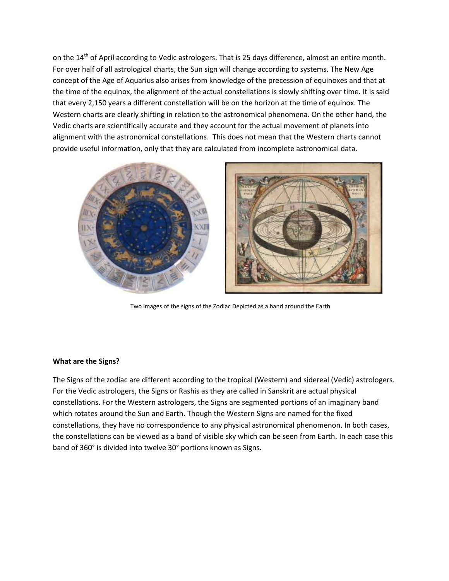on the 14<sup>th</sup> of April according to Vedic astrologers. That is 25 days difference, almost an entire month. For over half of all astrological charts, the Sun sign will change according to systems. The New Age concept of the Age of Aquarius also arises from knowledge of the precession of equinoxes and that at the time of the equinox, the alignment of the actual constellations is slowly shifting over time. It is said that every 2,150 years a different constellation will be on the horizon at the time of equinox. The Western charts are clearly shifting in relation to the astronomical phenomena. On the other hand, the Vedic charts are scientifically accurate and they account for the actual movement of planets into alignment with the astronomical constellations. This does not mean that the Western charts cannot provide useful information, only that they are calculated from incomplete astronomical data.



Two images of the signs of the Zodiac Depicted as a band around the Earth

## **What are the Signs?**

The Signs of the zodiac are different according to the tropical (Western) and sidereal (Vedic) astrologers. For the Vedic astrologers, the Signs or Rashis as they are called in Sanskrit are actual physical constellations. For the Western astrologers, the Signs are segmented portions of an imaginary band which rotates around the Sun and Earth. Though the Western Signs are named for the fixed constellations, they have no correspondence to any physical astronomical phenomenon. In both cases, the constellations can be viewed as a band of visible sky which can be seen from Earth. In each case this band of 360° is divided into twelve 30° portions known as Signs.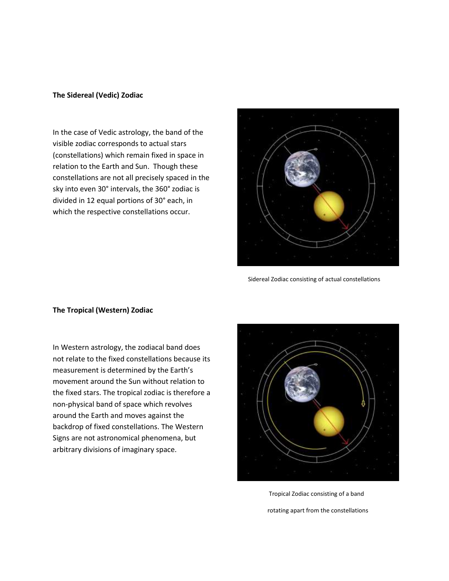#### **The Sidereal (Vedic) Zodiac**

In the case of Vedic astrology, the band of the visible zodiac corresponds to actual stars (constellations) which remain fixed in space in relation to the Earth and Sun. Though these constellations are not all precisely spaced in the sky into even 30° intervals, the 360° zodiac is divided in 12 equal portions of 30° each, in which the respective constellations occur.



Sidereal Zodiac consisting of actual constellations

### **The Tropical (Western) Zodiac**

In Western astrology, the zodiacal band does not relate to the fixed constellations because its measurement is determined by the Earth's movement around the Sun without relation to the fixed stars. The tropical zodiac is therefore a non-physical band of space which revolves around the Earth and moves against the backdrop of fixed constellations. The Western Signs are not astronomical phenomena, but arbitrary divisions of imaginary space.



 Tropical Zodiac consisting of a band rotating apart from the constellations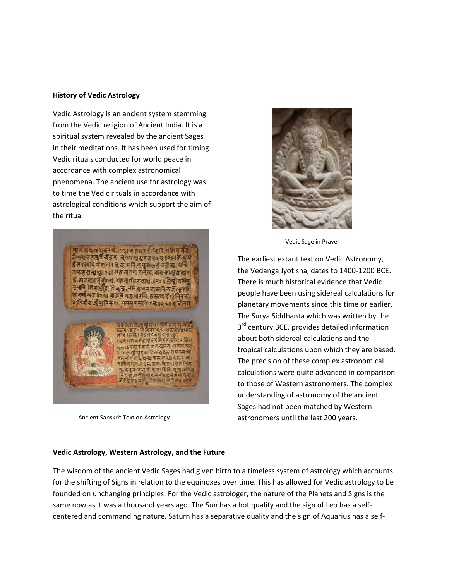#### **History of Vedic Astrology**

Vedic Astrology is an ancient system stemming from the Vedic religion of Ancient India. It is a spiritual system revealed by the ancient Sages in their meditations. It has been used for timing Vedic rituals conducted for world peace in accordance with complex astronomical phenomena. The ancient use for astrology was to time the Vedic rituals in accordance with astrological conditions which support the aim of the ritual.



Ancient Sanskrit Text on Astrology



Vedic Sage in Prayer

The earliest extant text on Vedic Astronomy, the Vedanga Jyotisha, dates to 1400-1200 BCE. There is much historical evidence that Vedic people have been using sidereal calculations for planetary movements since this time or earlier. The Surya Siddhanta which was written by the 3<sup>rd</sup> century BCE, provides detailed information about both sidereal calculations and the tropical calculations upon which they are based. The precision of these complex astronomical calculations were quite advanced in comparison to those of Western astronomers. The complex understanding of astronomy of the ancient Sages had not been matched by Western astronomers until the last 200 years.

#### **Vedic Astrology, Western Astrology, and the Future**

The wisdom of the ancient Vedic Sages had given birth to a timeless system of astrology which accounts for the shifting of Signs in relation to the equinoxes over time. This has allowed for Vedic astrology to be founded on unchanging principles. For the Vedic astrologer, the nature of the Planets and Signs is the same now as it was a thousand years ago. The Sun has a hot quality and the sign of Leo has a selfcentered and commanding nature. Saturn has a separative quality and the sign of Aquarius has a self